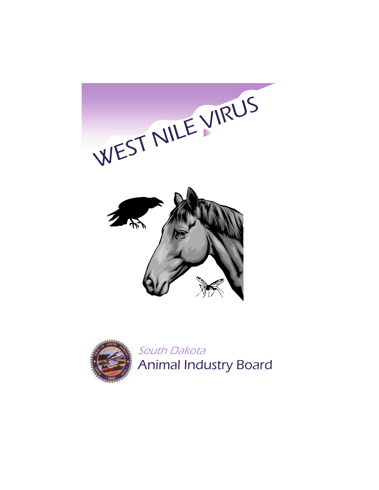



South Dakota Animal Industry Board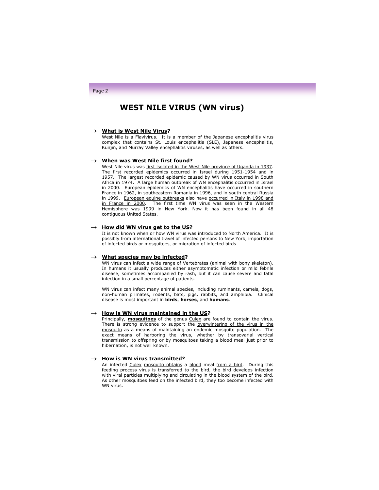# **WEST NILE VIRUS (WN virus)**

### → **What is West Nile Virus?**

West Nile is a Flavivirus. It is a member of the Japanese encephalitis virus complex that contains St. Louis encephalitis (SLE), Japanese encephalitis, Kunjin, and Murray Valley encephalitis viruses, as well as others.

# → **When was West Nile first found?**

West Nile virus was first isolated in the West Nile province of Uganda in 1937. The first recorded epidemics occurred in Israel during 1951-1954 and in 1957. The largest recorded epidemic caused by WN virus occurred in South Africa in 1974. A large human outbreak of WN encephalitis occurred in Israel in 2000. European epidemics of WN encephalitis have occurred in southern France in 1962, in southeastern Romania in 1996, and in south central Russia in 1999. European equine outbreaks also have occurred in Italy in 1998 and in France in 2000. The first time WN virus was seen in the Western Hemisphere was 1999 in New York. Now it has been found in all 48 contiguous United States.

### → **How did WN virus get to the US?**

It is not known when or how WN virus was introduced to North America. It is possibly from international travel of infected persons to New York, importation of infected birds or mosquitoes, or migration of infected birds.

#### → **What species may be infected?**

WN virus can infect a wide range of Vertebrates (animal with bony skeleton). In humans it usually produces either asymptomatic infection or mild febrile disease, sometimes accompanied by rash, but it can cause severe and fatal infection in a small percentage of patients.

WN virus can infect many animal species, including ruminants, camels, dogs, non-human primates, rodents, bats, pigs, rabbits, and amphibia. Clinical disease is most important in **birds**, **horses**, and **humans**.

#### → **How is WN virus maintained in the US?**

Principally, **mosquitoes** of the genus Culex are found to contain the virus. There is strong evidence to support the overwintering of the virus in the mosquito as a means of maintaining an endemic mosquito population. The exact means of harboring the virus, whether by transovarial vertical transmission to offspring or by mosquitoes taking a blood meal just prior to hibernation, is not well known.

# → **How is WN virus transmitted?**

An infected Culex mosquito obtains a blood meal from a bird. During this feeding process virus is transferred to the bird, the bird develops infection with viral particles multiplying and circulating in the blood system of the bird. As other mosquitoes feed on the infected bird, they too become infected with WN virus.

# Page 2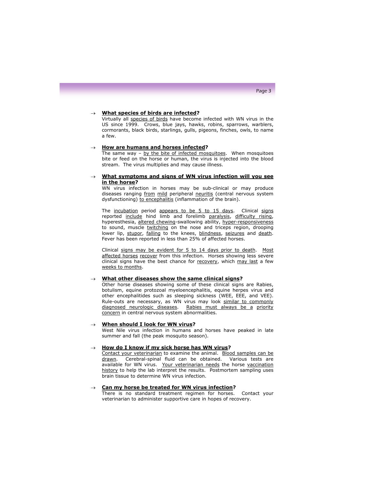### → **What species of birds are infected?**

Virtually all species of birds have become infected with WN virus in the US since 1999. Crows, blue jays, hawks, robins, sparrows, warblers, cormorants, black birds, starlings, gulls, pigeons, finches, owls, to name a few.

# → **How are humans and horses infected?**

The same way - by the bite of infected mosquitoes. When mosquitoes bite or feed on the horse or human, the virus is injected into the blood stream. The virus multiplies and may cause illness.

# **What symptoms and signs of WN virus infection will you see in the horse?**

WN virus infection in horses may be sub-clinical or may produce diseases ranging from mild peripheral neuritis (central nervous system dysfunctioning) to encephalitis (inflammation of the brain).

The incubation period appears to be 5 to 15 days. Clinical signs reported include hind limb and forelimb paralysis, difficulty rising, hyperesthesia, altered chewing-swallowing ability, hyper-responsiveness to sound, muscle twitching on the nose and triceps region, drooping lower lip, stupor, falling to the knees, blindness, seizures and death. Fever has been reported in less than 25% of affected horses.

Clinical signs may be evident for 5 to 14 days prior to death. Most affected horses recover from this infection. Horses showing less severe clinical signs have the best chance for recovery, which may last a few weeks to months.

### **What other diseases show the same clinical signs?**

Other horse diseases showing some of these clinical signs are Rabies, botulism, equine protozoal myeloencephalitis, equine herpes virus and other encephalitides such as sleeping sickness (WEE, EEE, and VEE). Rule-outs are necessary, as WN virus may look similar to commonly diagnosed neurologic diseases. Rabies must always be a priority concern in central nervous system abnormalities.

#### **When should I look for WN virus?**

West Nile virus infection in humans and horses have peaked in late summer and fall (the peak mosquito season).

#### → **How do I know if my sick horse has WN virus?**

Contact your veterinarian to examine the animal. Blood samples can be drawn. Cerebral-spinal fluid can be obtained. Various tests are available for WN virus. Your veterinarian needs the horse vaccination history to help the lab interpret the results. Postmortem sampling uses brain tissue to determine WN virus infection.

### → **Can my horse be treated for WN virus infection?**

There is no standard treatment regimen for horses. Contact your veterinarian to administer supportive care in hopes of recovery.

### Page 3